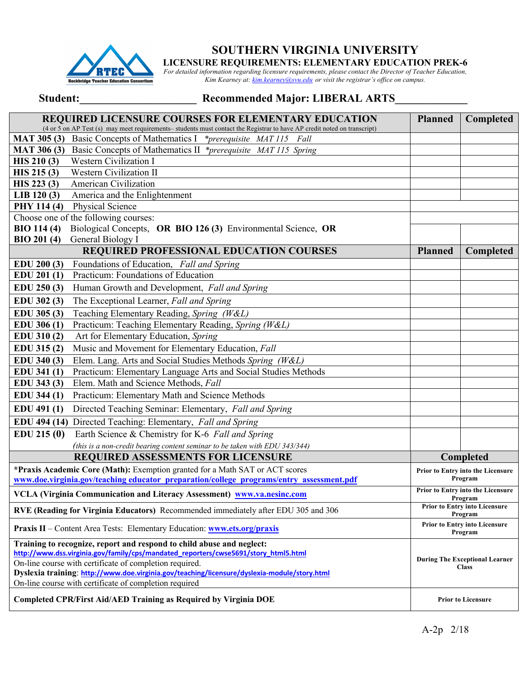

# **SOUTHERN VIRGINIA UNIVERSITY**

**LICENSURE REQUIREMENTS: ELEMENTARY EDUCATION PREK-6**

*For detailed information regarding licensure requirements, please contact the Director of Teacher Education, Kim Kearney at: kim.kearney@svu.edu or visit the registrar's office on campus.*

## Student: Necommended Major: LIBERAL ARTS

| <b>REQUIRED LICENSURE COURSES FOR ELEMENTARY EDUCATION</b><br>(4 or 5 on AP Test (s) may meet requirements- students must contact the Registrar to have AP credit noted on transcript)                                                                                                                                                                                            | <b>Planned</b>                                                                                                                | Completed                                             |  |
|-----------------------------------------------------------------------------------------------------------------------------------------------------------------------------------------------------------------------------------------------------------------------------------------------------------------------------------------------------------------------------------|-------------------------------------------------------------------------------------------------------------------------------|-------------------------------------------------------|--|
| MAT 305 (3) Basic Concepts of Mathematics I *prerequisite MAT 115 Fall                                                                                                                                                                                                                                                                                                            |                                                                                                                               |                                                       |  |
| <b>MAT 306 (3)</b><br>Basic Concepts of Mathematics II *prerequisite MAT 115 Spring                                                                                                                                                                                                                                                                                               |                                                                                                                               |                                                       |  |
| Western Civilization I<br>HIS 210(3)                                                                                                                                                                                                                                                                                                                                              |                                                                                                                               |                                                       |  |
| Western Civilization II<br>HIS 215(3)                                                                                                                                                                                                                                                                                                                                             |                                                                                                                               |                                                       |  |
| HIS 223 (3)<br>American Civilization                                                                                                                                                                                                                                                                                                                                              |                                                                                                                               |                                                       |  |
| $LIB$ 120 $(3)$<br>America and the Enlightenment                                                                                                                                                                                                                                                                                                                                  |                                                                                                                               |                                                       |  |
| PHY 114 (4)<br>Physical Science                                                                                                                                                                                                                                                                                                                                                   |                                                                                                                               |                                                       |  |
| Choose one of the following courses:                                                                                                                                                                                                                                                                                                                                              |                                                                                                                               |                                                       |  |
| <b>BIO 114 (4)</b><br>Biological Concepts, OR BIO 126 (3) Environmental Science, OR<br>General Biology I<br><b>BIO 201 (4)</b>                                                                                                                                                                                                                                                    |                                                                                                                               |                                                       |  |
| REQUIRED PROFESSIONAL EDUCATION COURSES                                                                                                                                                                                                                                                                                                                                           | <b>Planned</b>                                                                                                                | Completed                                             |  |
| Foundations of Education, Fall and Spring<br>EDU 200(3)                                                                                                                                                                                                                                                                                                                           |                                                                                                                               |                                                       |  |
| Practicum: Foundations of Education<br>EDU 201 (1)                                                                                                                                                                                                                                                                                                                                |                                                                                                                               |                                                       |  |
| EDU 250 (3)<br>Human Growth and Development, Fall and Spring                                                                                                                                                                                                                                                                                                                      |                                                                                                                               |                                                       |  |
| The Exceptional Learner, Fall and Spring<br>EDU 302 (3)                                                                                                                                                                                                                                                                                                                           |                                                                                                                               |                                                       |  |
| Teaching Elementary Reading, Spring (W&L)<br>EDU 305 (3)                                                                                                                                                                                                                                                                                                                          |                                                                                                                               |                                                       |  |
| Practicum: Teaching Elementary Reading, Spring (W&L)<br>EDU 306 (1)                                                                                                                                                                                                                                                                                                               |                                                                                                                               |                                                       |  |
| Art for Elementary Education, Spring<br>EDU 310(2)                                                                                                                                                                                                                                                                                                                                |                                                                                                                               |                                                       |  |
| Music and Movement for Elementary Education, Fall<br>EDU 315(2)                                                                                                                                                                                                                                                                                                                   |                                                                                                                               |                                                       |  |
| Elem. Lang. Arts and Social Studies Methods Spring (W&L)<br>EDU 340 (3)                                                                                                                                                                                                                                                                                                           |                                                                                                                               |                                                       |  |
| Practicum: Elementary Language Arts and Social Studies Methods<br>EDU 341 (1)                                                                                                                                                                                                                                                                                                     |                                                                                                                               |                                                       |  |
| Elem. Math and Science Methods, Fall<br>EDU 343 (3)                                                                                                                                                                                                                                                                                                                               |                                                                                                                               |                                                       |  |
| EDU 344 (1)<br>Practicum: Elementary Math and Science Methods                                                                                                                                                                                                                                                                                                                     |                                                                                                                               |                                                       |  |
| EDU 491 (1)<br>Directed Teaching Seminar: Elementary, Fall and Spring                                                                                                                                                                                                                                                                                                             |                                                                                                                               |                                                       |  |
| EDU 494 (14) Directed Teaching: Elementary, Fall and Spring                                                                                                                                                                                                                                                                                                                       |                                                                                                                               |                                                       |  |
| EDU 215(0)<br>Earth Science & Chemistry for K-6 Fall and Spring                                                                                                                                                                                                                                                                                                                   |                                                                                                                               |                                                       |  |
| (this is a non-credit bearing content seminar to be taken with EDU 343/344)                                                                                                                                                                                                                                                                                                       |                                                                                                                               |                                                       |  |
| <b>REQUIRED ASSESSMENTS FOR LICENSURE</b>                                                                                                                                                                                                                                                                                                                                         |                                                                                                                               | Completed                                             |  |
| *Praxis Academic Core (Math): Exemption granted for a Math SAT or ACT scores                                                                                                                                                                                                                                                                                                      |                                                                                                                               | Prior to Entry into the Licensure<br>Program          |  |
| VCLA (Virginia Communication and Literacy Assessment) www.va.nesinc.com                                                                                                                                                                                                                                                                                                           | www.doe.virginia.gov/teaching educator preparation/college programs/entry assessment.pdf<br>Prior to Entry into the Licensure |                                                       |  |
| RVE (Reading for Virginia Educators) Recommended immediately after EDU 305 and 306                                                                                                                                                                                                                                                                                                | Program<br>Prior to Entry into Licensure                                                                                      |                                                       |  |
| Program<br><b>Prior to Entry into Licensure</b><br>Praxis II – Content Area Tests: Elementary Education: www.ets.org/praxis<br>Program                                                                                                                                                                                                                                            |                                                                                                                               |                                                       |  |
| Training to recognize, report and respond to child abuse and neglect:<br>http://www.dss.virginia.gov/family/cps/mandated reporters/cwse5691/story html5.html<br>On-line course with certificate of completion required.<br>Dyslexia training: http://www.doe.virginia.gov/teaching/licensure/dyslexia-module/story.html<br>On-line course with certificate of completion required |                                                                                                                               | <b>During The Exceptional Learner</b><br><b>Class</b> |  |
| Completed CPR/First Aid/AED Training as Required by Virginia DOE                                                                                                                                                                                                                                                                                                                  |                                                                                                                               | <b>Prior to Licensure</b>                             |  |